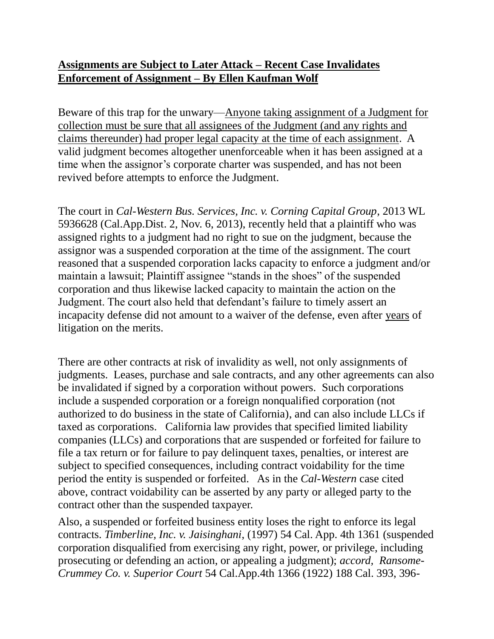## **Assignments are Subject to Later Attack – Recent Case Invalidates Enforcement of Assignment – By Ellen Kaufman Wolf**

Beware of this trap for the unwary—Anyone taking assignment of a Judgment for collection must be sure that all assignees of the Judgment (and any rights and claims thereunder) had proper legal capacity at the time of each assignment. A valid judgment becomes altogether unenforceable when it has been assigned at a time when the assignor's corporate charter was suspended, and has not been revived before attempts to enforce the Judgment.

The court in *Cal-Western Bus. Services, Inc. v. Corning Capital Group*, 2013 WL 5936628 (Cal.App.Dist. 2, Nov. 6, 2013), recently held that a plaintiff who was assigned rights to a judgment had no right to sue on the judgment, because the assignor was a suspended corporation at the time of the assignment. The court reasoned that a suspended corporation lacks capacity to enforce a judgment and/or maintain a lawsuit; Plaintiff assignee "stands in the shoes" of the suspended corporation and thus likewise lacked capacity to maintain the action on the Judgment. The court also held that defendant's failure to timely assert an incapacity defense did not amount to a waiver of the defense, even after years of litigation on the merits.

There are other contracts at risk of invalidity as well, not only assignments of judgments. Leases, purchase and sale contracts, and any other agreements can also be invalidated if signed by a corporation without powers. Such corporations include a suspended corporation or a foreign nonqualified corporation (not authorized to do business in the state of California), and can also include LLCs if taxed as corporations. California law provides that specified limited liability companies (LLCs) and corporations that are suspended or forfeited for failure to file a tax return or for failure to pay delinquent taxes, penalties, or interest are subject to specified consequences, including contract voidability for the time period the entity is suspended or forfeited. As in the *Cal-Western* case cited above, contract voidability can be asserted by any party or alleged party to the contract other than the suspended taxpayer.

Also, a suspended or forfeited business entity loses the right to enforce its legal contracts. *Timberline, Inc. v. Jaisinghani*, (1997) 54 Cal. App. 4th 1361 (suspended corporation disqualified from exercising any right, power, or privilege, including prosecuting or defending an action, or appealing a judgment); *accord, Ransome-Crummey Co. v. Superior Court* 54 Cal.App.4th 1366 (1922) 188 Cal. 393, 396-